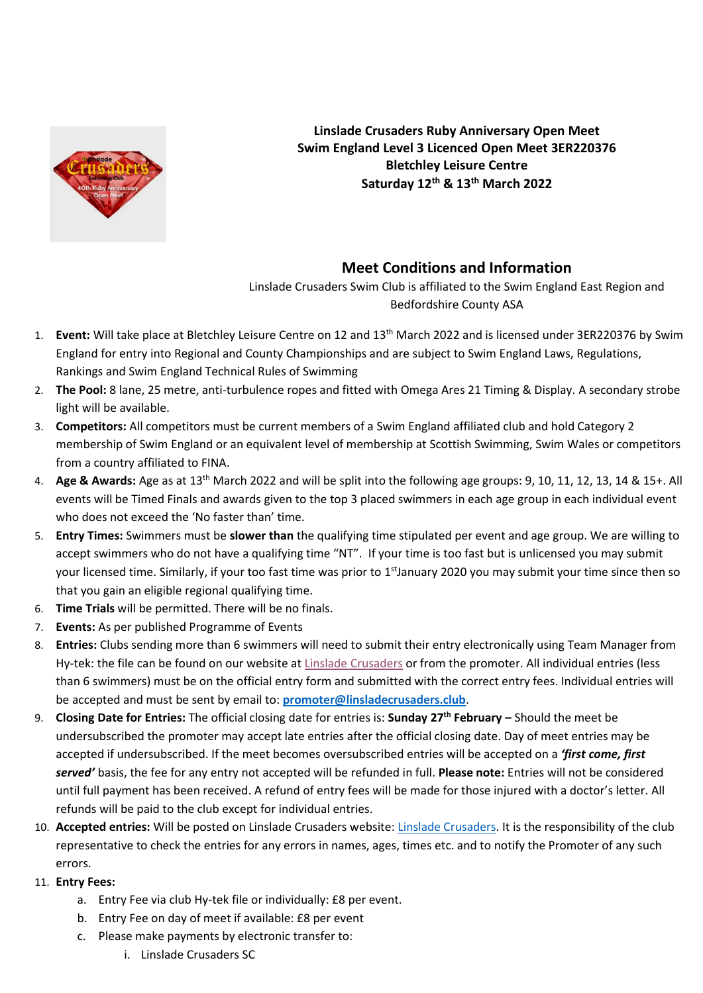

**Linslade Crusaders Ruby Anniversary Open Meet Swim England Level 3 Licenced Open Meet 3ER220376 Bletchley Leisure Centre Saturday 12th & 13th March 2022**

### **Meet Conditions and Information**

Linslade Crusaders Swim Club is affiliated to the Swim England East Region and Bedfordshire County ASA

- 1. **Event:** Will take place at Bletchley Leisure Centre on 12 and 13th March 2022 and is licensed under 3ER220376 by Swim England for entry into Regional and County Championships and are subject to Swim England Laws, Regulations, Rankings and Swim England Technical Rules of Swimming
- 2. **The Pool:** 8 lane, 25 metre, anti-turbulence ropes and fitted with Omega Ares 21 Timing & Display. A secondary strobe light will be available.
- 3. **Competitors:** All competitors must be current members of a Swim England affiliated club and hold Category 2 membership of Swim England or an equivalent level of membership at Scottish Swimming, Swim Wales or competitors from a country affiliated to FINA.
- 4. **Age & Awards:** Age as at 13th March 2022 and will be split into the following age groups: 9, 10, 11, 12, 13, 14 & 15+. All events will be Timed Finals and awards given to the top 3 placed swimmers in each age group in each individual event who does not exceed the 'No faster than' time.
- 5. **Entry Times:** Swimmers must be **slower than** the qualifying time stipulated per event and age group. We are willing to accept swimmers who do not have a qualifying time "NT". If your time is too fast but is unlicensed you may submit your licensed time. Similarly, if your too fast time was prior to 1<sup>st</sup>January 2020 you may submit your time since then so that you gain an eligible regional qualifying time.
- 6. **Time Trials** will be permitted. There will be no finals.
- 7. **Events:** As per published Programme of Events
- 8. **Entries:** Clubs sending more than 6 swimmers will need to submit their entry electronically using Team Manager from Hy-tek: the file can be found on our website at Linslade [Crusaders](https://linsladecrusaders.club/) or from the promoter. All individual entries (less than 6 swimmers) must be on the official entry form and submitted with the correct entry fees. Individual entries will be accepted and must be sent by email to: **promoter@linsladecrusaders.club**.
- 9. **Closing Date for Entries:** The official closing date for entries is: **Sunday 27th February –** Should the meet be undersubscribed the promoter may accept late entries after the official closing date. Day of meet entries may be accepted if undersubscribed. If the meet becomes oversubscribed entries will be accepted on a *'first come, first served'* basis, the fee for any entry not accepted will be refunded in full. **Please note:** Entries will not be considered until full payment has been received. A refund of entry fees will be made for those injured with a doctor's letter. All refunds will be paid to the club except for individual entries.
- 10. **Accepted entries:** Will be posted on Linslade Crusaders website: [Linslade Crusaders.](https://linsladecrusaders.club/) It is the responsibility of the club representative to check the entries for any errors in names, ages, times etc. and to notify the Promoter of any such errors.
- 11. **Entry Fees:** 
	- a. Entry Fee via club Hy-tek file or individually: £8 per event.
	- b. Entry Fee on day of meet if available: £8 per event
	- c. Please make payments by electronic transfer to:
		- i. Linslade Crusaders SC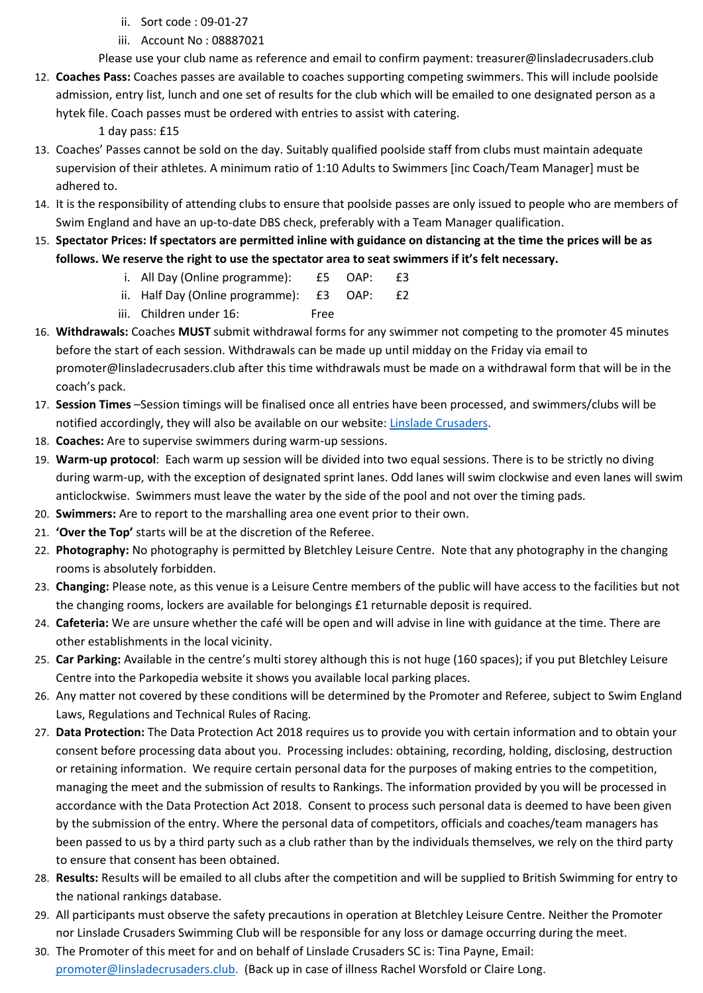- ii. Sort code : 09-01-27
- iii. Account No : 08887021

Please use your club name as reference and email to confirm payment: treasurer@linsladecrusaders.club

12. **Coaches Pass:** Coaches passes are available to coaches supporting competing swimmers. This will include poolside admission, entry list, lunch and one set of results for the club which will be emailed to one designated person as a hytek file. Coach passes must be ordered with entries to assist with catering.

1 day pass: £15

- 13. Coaches' Passes cannot be sold on the day. Suitably qualified poolside staff from clubs must maintain adequate supervision of their athletes. A minimum ratio of 1:10 Adults to Swimmers [inc Coach/Team Manager] must be adhered to.
- 14. It is the responsibility of attending clubs to ensure that poolside passes are only issued to people who are members of Swim England and have an up-to-date DBS check, preferably with a Team Manager qualification.
- 15. **Spectator Prices: If spectators are permitted inline with guidance on distancing at the time the prices will be as follows. We reserve the right to use the spectator area to seat swimmers if it's felt necessary.**
	- i. All Day (Online programme): £5 OAP: £3
	- ii. Half Day (Online programme): £3 OAP: £2
	- iii. Children under 16: Free
- 16. **Withdrawals:** Coaches **MUST** submit withdrawal forms for any swimmer not competing to the promoter 45 minutes before the start of each session. Withdrawals can be made up until midday on the Friday via email to promoter@linsladecrusaders.club after this time withdrawals must be made on a withdrawal form that will be in the coach's pack.
- 17. **Session Times** –Session timings will be finalised once all entries have been processed, and swimmers/clubs will be notified accordingly, they will also be available on our website: [Linslade Crusaders.](https://linsladecrusaders.club/)
- 18. **Coaches:** Are to supervise swimmers during warm-up sessions.
- 19. **Warm-up protocol**: Each warm up session will be divided into two equal sessions. There is to be strictly no diving during warm-up, with the exception of designated sprint lanes. Odd lanes will swim clockwise and even lanes will swim anticlockwise. Swimmers must leave the water by the side of the pool and not over the timing pads.
- 20. **Swimmers:** Are to report to the marshalling area one event prior to their own.
- 21. **'Over the Top'** starts will be at the discretion of the Referee.
- 22. **Photography:** No photography is permitted by Bletchley Leisure Centre. Note that any photography in the changing rooms is absolutely forbidden.
- 23. **Changing:** Please note, as this venue is a Leisure Centre members of the public will have access to the facilities but not the changing rooms, lockers are available for belongings £1 returnable deposit is required.
- 24. **Cafeteria:** We are unsure whether the café will be open and will advise in line with guidance at the time. There are other establishments in the local vicinity.
- 25. **Car Parking:** Available in the centre's multi storey although this is not huge (160 spaces); if you put Bletchley Leisure Centre into the Parkopedia website it shows you available local parking places.
- 26. Any matter not covered by these conditions will be determined by the Promoter and Referee, subject to Swim England Laws, Regulations and Technical Rules of Racing.
- 27. **Data Protection:** The Data Protection Act 2018 requires us to provide you with certain information and to obtain your consent before processing data about you. Processing includes: obtaining, recording, holding, disclosing, destruction or retaining information. We require certain personal data for the purposes of making entries to the competition, managing the meet and the submission of results to Rankings. The information provided by you will be processed in accordance with the Data Protection Act 2018. Consent to process such personal data is deemed to have been given by the submission of the entry. Where the personal data of competitors, officials and coaches/team managers has been passed to us by a third party such as a club rather than by the individuals themselves, we rely on the third party to ensure that consent has been obtained.
- 28. **Results:** Results will be emailed to all clubs after the competition and will be supplied to British Swimming for entry to the national rankings database.
- 29. All participants must observe the safety precautions in operation at Bletchley Leisure Centre. Neither the Promoter nor Linslade Crusaders Swimming Club will be responsible for any loss or damage occurring during the meet.
- 30. The Promoter of this meet for and on behalf of Linslade Crusaders SC is: Tina Payne, Email: [promoter@linsladecrusaders.club.](mailto:promoter@linsladecrusaders.club) (Back up in case of illness Rachel Worsfold or Claire Long.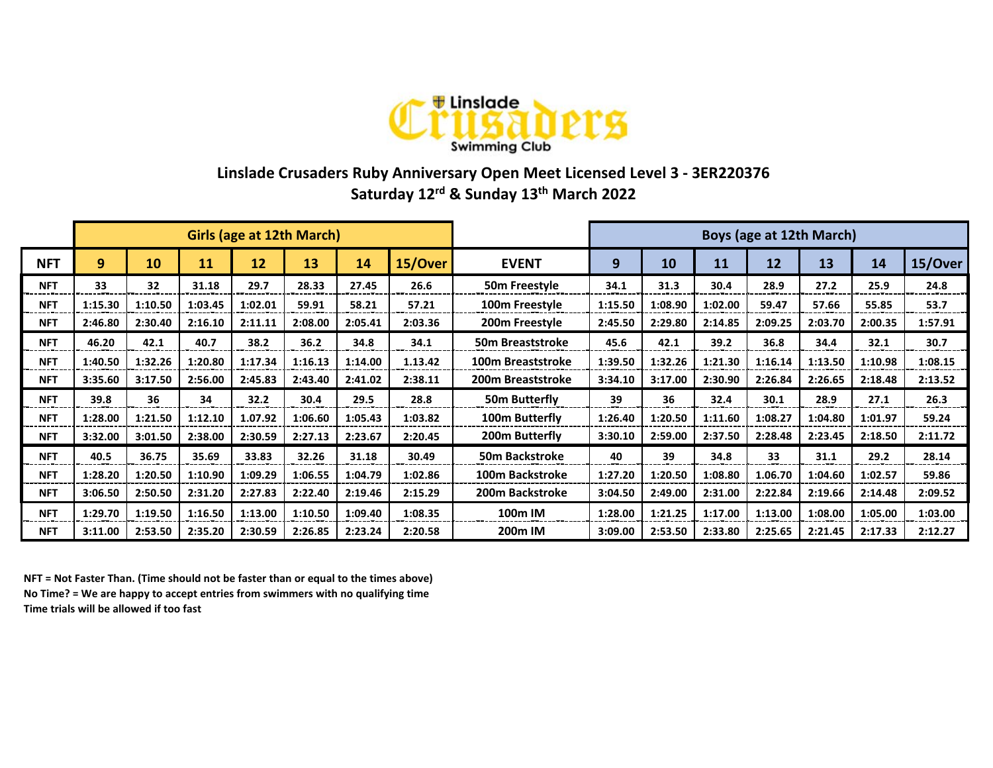

## **Linslade Crusaders Ruby Anniversary Open Meet Licensed Level 3 - 3ER220376 Saturday 12rd & Sunday 13th March 2022**

|            | <b>Girls (age at 12th March)</b> |         |         |         |         |         |         | Boys (age at 12th March) |         |         |         |         |         |         |         |
|------------|----------------------------------|---------|---------|---------|---------|---------|---------|--------------------------|---------|---------|---------|---------|---------|---------|---------|
| <b>NFT</b> | $\boldsymbol{9}$                 | 10      | 11      | 12      | 13      | 14      | 15/Over | <b>EVENT</b>             | 9       | 10      | 11      | 12      | 13      | 14      | 15/Over |
| <b>NFT</b> | 33                               | 32      | 31.18   | 29.7    | 28.33   | 27.45   | 26.6    | 50m Freestyle            | 34.1    | 31.3    | 30.4    | 28.9    | 27.2    | 25.9    | 24.8    |
| <b>NFT</b> | 1:15.30                          | 1:10.50 | 1:03.45 | 1:02.01 | 59.91   | 58.21   | 57.21   | 100m Freestyle           | 1:15.50 | 1:08.90 | 1:02.00 | 59.47   | 57.66   | 55.85   | 53.7    |
| <b>NFT</b> | 2:46.80                          | 2:30.40 | 2:16.10 | 2:11.11 | 2:08.00 | 2:05.41 | 2:03.36 | 200m Freestyle           | 2:45.50 | 2:29.80 | 2:14.85 | 2:09.25 | 2:03.70 | 2:00.35 | 1:57.91 |
| <b>NFT</b> | 46.20                            | 42.1    | 40.7    | 38.2    | 36.2    | 34.8    | 34.1    | 50m Breaststroke         | 45.6    | 42.1    | 39.2    | 36.8    | 34.4    | 32.1    | 30.7    |
| <b>NFT</b> | 1:40.50                          | 1:32.26 | 1:20.80 | 1:17.34 | 1:16.13 | 1:14.00 | 1.13.42 | 100m Breaststroke        | 1:39.50 | 1:32.26 | 1:21.30 | 1:16.14 | 1:13.50 | 1:10.98 | 1:08.15 |
| <b>NFT</b> | 3:35.60                          | 3:17.50 | 2:56.00 | 2:45.83 | 2:43.40 | 2:41.02 | 2:38.11 | 200m Breaststroke        | 3:34.10 | 3:17.00 | 2:30.90 | 2:26.84 | 2:26.65 | 2:18.48 | 2:13.52 |
| <b>NFT</b> | 39.8                             | 36      | 34      | 32.2    | 30.4    | 29.5    | 28.8    | 50m Butterfly            | 39      | 36      | 32.4    | 30.1    | 28.9    | 27.1    | 26.3    |
| <b>NFT</b> | 1:28.00                          | 1:21.50 | 1:12.10 | 1.07.92 | 1:06.60 | 1:05.43 | 1:03.82 | 100m Butterfly           | 1:26.40 | 1:20.50 | 1:11.60 | 1:08.27 | 1:04.80 | 1:01.97 | 59.24   |
| <b>NFT</b> | 3:32.00                          | 3:01.50 | 2:38.00 | 2:30.59 | 2:27.13 | 2:23.67 | 2:20.45 | 200m Butterfly           | 3:30.10 | 2:59.00 | 2:37.50 | 2:28.48 | 2:23.45 | 2:18.50 | 2:11.72 |
| <b>NFT</b> | 40.5                             | 36.75   | 35.69   | 33.83   | 32.26   | 31.18   | 30.49   | <b>50m Backstroke</b>    | 40      | 39      | 34.8    | 33      | 31.1    | 29.2    | 28.14   |
| <b>NFT</b> | 1:28.20                          | 1:20.50 | 1:10.90 | 1:09.29 | 1:06.55 | 1:04.79 | 1:02.86 | 100m Backstroke          | 1:27.20 | 1:20.50 | 1:08.80 | 1.06.70 | 1:04.60 | 1:02.57 | 59.86   |
| <b>NFT</b> | 3:06.50                          | 2:50.50 | 2:31.20 | 2:27.83 | 2:22.40 | 2:19.46 | 2:15.29 | 200m Backstroke          | 3:04.50 | 2:49.00 | 2:31.00 | 2:22.84 | 2:19.66 | 2:14.48 | 2:09.52 |
| <b>NFT</b> | 1:29.70                          | 1:19.50 | 1:16.50 | 1:13.00 | 1:10.50 | 1:09.40 | 1:08.35 | 100m IM                  | 1:28.00 | 1:21.25 | 1:17.00 | 1:13.00 | 1:08.00 | 1:05.00 | 1:03.00 |
| <b>NFT</b> | 3:11.00                          | 2:53.50 | 2:35.20 | 2:30.59 | 2:26.85 | 2:23.24 | 2:20.58 | 200m IM                  | 3:09.00 | 2:53.50 | 2:33.80 | 2:25.65 | 2:21.45 | 2:17.33 | 2:12.27 |

**NFT = Not Faster Than. (Time should not be faster than or equal to the times above) No Time? = We are happy to accept entries from swimmers with no qualifying time Time trials will be allowed if too fast**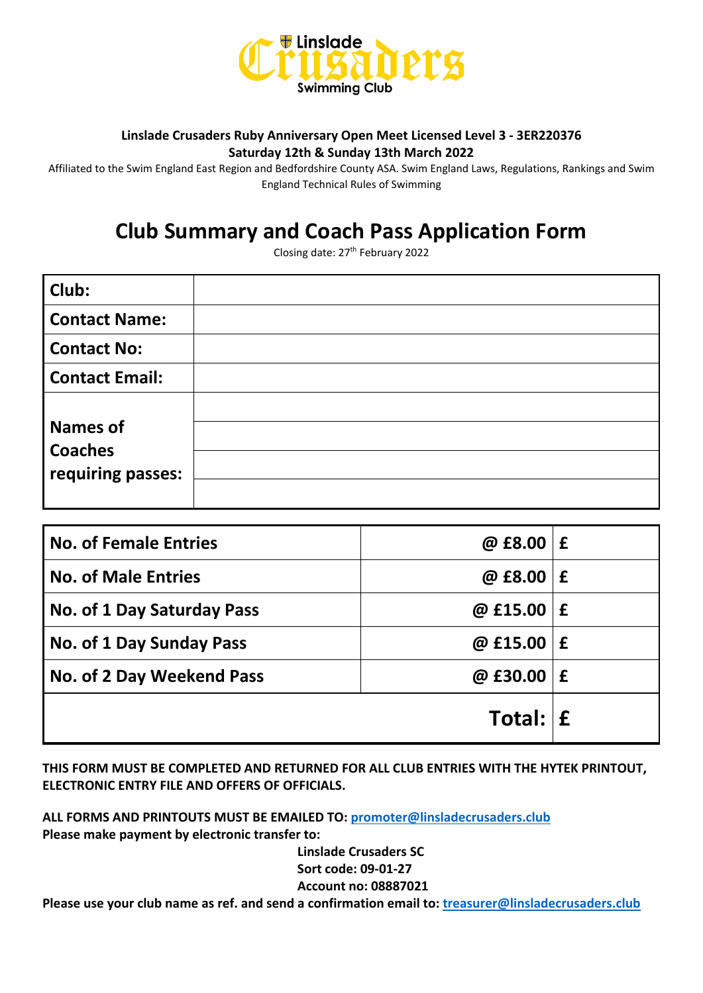

#### **Linslade Crusaders Ruby Anniversary Open Meet Licensed Level 3 - 3ER220376 Saturday 12th & Sunday 13th March 2022**

Affiliated to the Swim England East Region and Bedfordshire County ASA. Swim England Laws, Regulations, Rankings and Swim England Technical Rules of Swimming

# **Club Summary and Coach Pass Application Form**

Closing date: 27th February 2022

| Club:                                                  |  |
|--------------------------------------------------------|--|
| <b>Contact Name:</b>                                   |  |
| <b>Contact No:</b>                                     |  |
| <b>Contact Email:</b>                                  |  |
| <b>Names of</b><br><b>Coaches</b><br>requiring passes: |  |

| <b>No. of Female Entries</b> | @ $£8.00 \, \, f$ |             |
|------------------------------|-------------------|-------------|
| <b>No. of Male Entries</b>   | @ £8.00           | £           |
| No. of 1 Day Saturday Pass   | @ £15.00          | £           |
| No. of 1 Day Sunday Pass     | $@$ £15.00        | $\mathbf f$ |
| No. of 2 Day Weekend Pass    | @ £30.00          | £           |
|                              | Total: $E$        |             |

**THIS FORM MUST BE COMPLETED AND RETURNED FOR ALL CLUB ENTRIES WITH THE HYTEK PRINTOUT, ELECTRONIC ENTRY FILE AND OFFERS OF OFFICIALS.**

**ALL FORMS AND PRINTOUTS MUST BE EMAILED TO: [promoter@linsladecrusaders.club](mailto:promoter@linsladecrusaders.club) Please make payment by electronic transfer to:** 

> **Linslade Crusaders SC Sort code: 09-01-27 Account no: 08887021**

**Please use your club name as ref. and send a confirmation email to: [treasurer@linsladecrusaders.club](mailto:treasurer@linsladecrusaders.club)**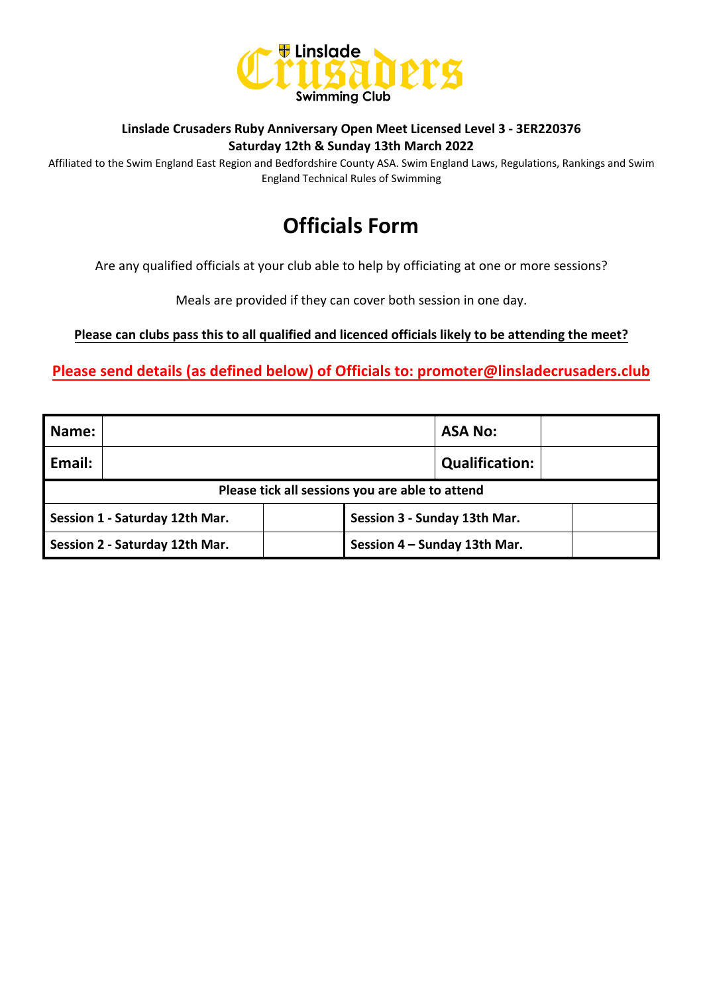

#### **Linslade Crusaders Ruby Anniversary Open Meet Licensed Level 3 - 3ER220376 Saturday 12th & Sunday 13th March 2022**

Affiliated to the Swim England East Region and Bedfordshire County ASA. Swim England Laws, Regulations, Rankings and Swim England Technical Rules of Swimming

## **Officials Form**

Are any qualified officials at your club able to help by officiating at one or more sessions?

Meals are provided if they can cover both session in one day.

**Please can clubs pass this to all qualified and licenced officials likely to be attending the meet?**

**Please send details (as defined below) of Officials to: promoter@linsladecrusaders.club**

| <b>Name:</b> |                                                 |                              | <b>ASA No:</b>        |  |  |  |  |  |  |
|--------------|-------------------------------------------------|------------------------------|-----------------------|--|--|--|--|--|--|
| Email:       |                                                 |                              | <b>Qualification:</b> |  |  |  |  |  |  |
|              | Please tick all sessions you are able to attend |                              |                       |  |  |  |  |  |  |
|              | Session 1 - Saturday 12th Mar.                  | Session 3 - Sunday 13th Mar. |                       |  |  |  |  |  |  |
|              | Session 2 - Saturday 12th Mar.                  | Session 4 - Sunday 13th Mar. |                       |  |  |  |  |  |  |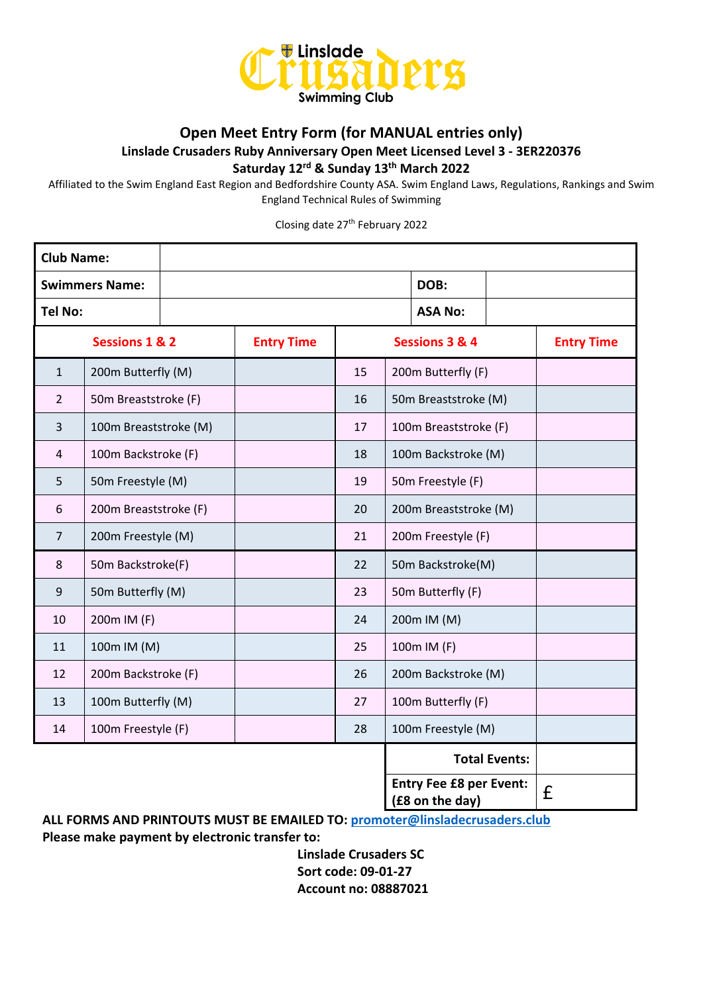

#### **Open Meet Entry Form (for MANUAL entries only)**

**Linslade Crusaders Ruby Anniversary Open Meet Licensed Level 3 - 3ER220376**

**Saturday 12rd & Sunday 13th March 2022**

Affiliated to the Swim England East Region and Bedfordshire County ASA. Swim England Laws, Regulations, Rankings and Swim England Technical Rules of Swimming

Closing date 27th February 2022

| <b>Club Name:</b>     |                           |  |                   |                |                       |                                                   |                      |                   |
|-----------------------|---------------------------|--|-------------------|----------------|-----------------------|---------------------------------------------------|----------------------|-------------------|
| <b>Swimmers Name:</b> |                           |  |                   |                |                       | DOB:                                              |                      |                   |
| Tel No:               |                           |  |                   |                |                       |                                                   |                      |                   |
|                       | <b>Sessions 1 &amp; 2</b> |  | <b>Entry Time</b> | Sessions 3 & 4 |                       |                                                   |                      | <b>Entry Time</b> |
| $\mathbf{1}$          | 200m Butterfly (M)        |  |                   | 15             |                       | 200m Butterfly (F)                                |                      |                   |
| $\overline{2}$        | 50m Breaststroke (F)      |  |                   | 16             |                       | 50m Breaststroke (M)                              |                      |                   |
| 3                     | 100m Breaststroke (M)     |  |                   | 17             |                       | 100m Breaststroke (F)                             |                      |                   |
| 4                     | 100m Backstroke (F)       |  |                   | 18             |                       | 100m Backstroke (M)                               |                      |                   |
| 5                     | 50m Freestyle (M)         |  |                   | 19             |                       | 50m Freestyle (F)                                 |                      |                   |
| 6                     | 200m Breaststroke (F)     |  |                   | 20             | 200m Breaststroke (M) |                                                   |                      |                   |
| $\overline{7}$        | 200m Freestyle (M)        |  |                   | 21             | 200m Freestyle (F)    |                                                   |                      |                   |
| 8                     | 50m Backstroke(F)         |  |                   | 22             | 50m Backstroke(M)     |                                                   |                      |                   |
| 9                     | 50m Butterfly (M)         |  |                   | 23             | 50m Butterfly (F)     |                                                   |                      |                   |
| 10                    | 200m IM (F)               |  |                   | 24             |                       | 200m IM (M)                                       |                      |                   |
| 11                    | 100m IM (M)               |  |                   | 25             | 100m IM (F)           |                                                   |                      |                   |
| 12                    | 200m Backstroke (F)       |  |                   | 26             |                       | 200m Backstroke (M)                               |                      |                   |
| 13                    | 100m Butterfly (M)        |  |                   | 27             | 100m Butterfly (F)    |                                                   |                      |                   |
| 14                    | 100m Freestyle (F)        |  |                   | 28             | 100m Freestyle (M)    |                                                   |                      |                   |
|                       |                           |  |                   |                |                       |                                                   | <b>Total Events:</b> |                   |
|                       |                           |  |                   |                |                       | <b>Entry Fee £8 per Event:</b><br>(£8 on the day) |                      | £                 |

**ALL FORMS AND PRINTOUTS MUST BE EMAILED TO: [promoter@linsladecrusaders.club](mailto:promoter@linsladecrusaders.club) Please make payment by electronic transfer to:** 

> **Linslade Crusaders SC Sort code: 09-01-27 Account no: 08887021**